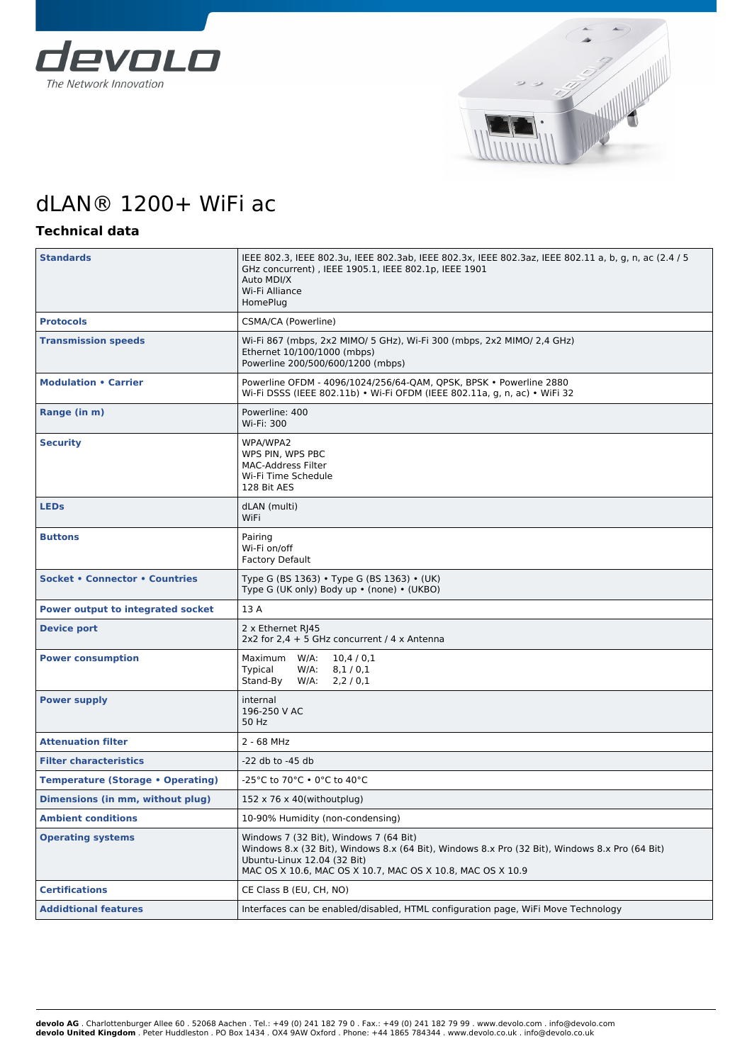



## dLAN® 1200+ WiFi ac

## **Technical data**

| <b>Standards</b>                         | IEEE 802.3, IEEE 802.3u, IEEE 802.3ab, IEEE 802.3x, IEEE 802.3az, IEEE 802.11 a, b, g, n, ac (2.4 / 5<br>GHz concurrent), IEEE 1905.1, IEEE 802.1p, IEEE 1901<br>Auto MDI/X<br>Wi-Fi Alliance<br>HomePlug                             |  |  |
|------------------------------------------|---------------------------------------------------------------------------------------------------------------------------------------------------------------------------------------------------------------------------------------|--|--|
| <b>Protocols</b>                         | CSMA/CA (Powerline)                                                                                                                                                                                                                   |  |  |
| <b>Transmission speeds</b>               | Wi-Fi 867 (mbps, 2x2 MIMO/ 5 GHz), Wi-Fi 300 (mbps, 2x2 MIMO/ 2,4 GHz)<br>Ethernet 10/100/1000 (mbps)<br>Powerline 200/500/600/1200 (mbps)                                                                                            |  |  |
| <b>Modulation • Carrier</b>              | Powerline OFDM - 4096/1024/256/64-QAM, QPSK, BPSK . Powerline 2880<br>Wi-Fi DSSS (IEEE 802.11b) • Wi-Fi OFDM (IEEE 802.11a, g, n, ac) • WiFi 32                                                                                       |  |  |
| Range (in m)                             | Powerline: 400<br>Wi-Fi: 300                                                                                                                                                                                                          |  |  |
| <b>Security</b>                          | WPA/WPA2<br>WPS PIN, WPS PBC<br>MAC-Address Filter<br>Wi-Fi Time Schedule<br>128 Bit AES                                                                                                                                              |  |  |
| <b>LEDS</b>                              | dLAN (multi)<br>WiFi                                                                                                                                                                                                                  |  |  |
| <b>Buttons</b>                           | Pairing<br>Wi-Fi on/off<br><b>Factory Default</b>                                                                                                                                                                                     |  |  |
| <b>Socket • Connector • Countries</b>    | Type G (BS 1363) • Type G (BS 1363) • (UK)<br>Type G (UK only) Body up • (none) • (UKBO)                                                                                                                                              |  |  |
| <b>Power output to integrated socket</b> | 13 A                                                                                                                                                                                                                                  |  |  |
| <b>Device port</b>                       | 2 x Ethernet RJ45<br>2x2 for $2.4 + 5$ GHz concurrent / 4 x Antenna                                                                                                                                                                   |  |  |
| <b>Power consumption</b>                 | Maximum W/A:<br>10,4/0,1<br>Typical<br>$W/A$ :<br>8,1/0,1<br>Stand-By<br>2,2/0,1<br>$W/A$ :                                                                                                                                           |  |  |
| <b>Power supply</b>                      | internal<br>196-250 V AC<br>50 Hz                                                                                                                                                                                                     |  |  |
| <b>Attenuation filter</b>                | 2 - 68 MHz                                                                                                                                                                                                                            |  |  |
| <b>Filter characteristics</b>            | -22 db to -45 db                                                                                                                                                                                                                      |  |  |
| <b>Temperature (Storage • Operating)</b> | -25°C to 70°C • 0°C to 40°C                                                                                                                                                                                                           |  |  |
| Dimensions (in mm, without plug)         | $152 \times 76 \times 40$ (withoutplug)                                                                                                                                                                                               |  |  |
| Ambient conditions                       | 10-90% Humidity (non-condensing)                                                                                                                                                                                                      |  |  |
| <b>Operating systems</b>                 | Windows 7 (32 Bit), Windows 7 (64 Bit)<br>Windows 8.x (32 Bit), Windows 8.x (64 Bit), Windows 8.x Pro (32 Bit), Windows 8.x Pro (64 Bit)<br>Ubuntu-Linux 12.04 (32 Bit)<br>MAC OS X 10.6, MAC OS X 10.7, MAC OS X 10.8, MAC OS X 10.9 |  |  |
| <b>Certifications</b>                    | CE Class B (EU, CH, NO)                                                                                                                                                                                                               |  |  |
| <b>Addidtional features</b>              | Interfaces can be enabled/disabled, HTML configuration page, WiFi Move Technology                                                                                                                                                     |  |  |